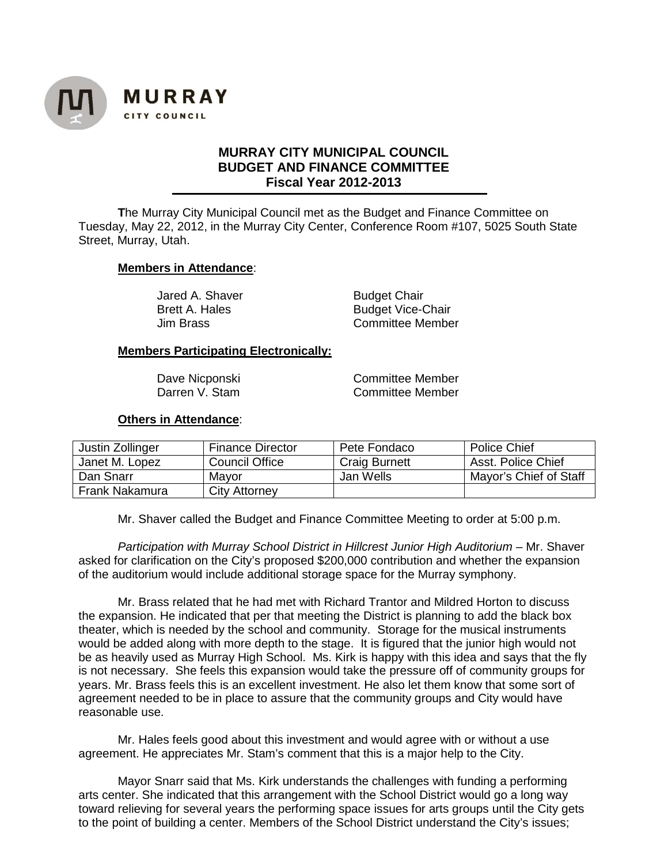

## **MURRAY CITY MUNICIPAL COUNCIL BUDGET AND FINANCE COMMITTEE Fiscal Year 2012-2013**

**T**he Murray City Municipal Council met as the Budget and Finance Committee on Tuesday, May 22, 2012, in the Murray City Center, Conference Room #107, 5025 South State Street, Murray, Utah.

## **Members in Attendance**:

Jared A. Shaver **Budget Chair** 

Brett A. Hales Budget Vice-Chair Jim Brass Committee Member

## **Members Participating Electronically:**

Dave Nicponski Committee Member<br>
Darren V. Stam Committee Member Committee Member

## **Others in Attendance**:

| Justin Zollinger | <b>Finance Director</b> | Pete Fondaco         | <b>Police Chief</b>    |
|------------------|-------------------------|----------------------|------------------------|
| Janet M. Lopez   | <b>Council Office</b>   | <b>Craig Burnett</b> | Asst. Police Chief     |
| Dan Snarr        | Mayor                   | Jan Wells            | Mayor's Chief of Staff |
| Frank Nakamura   | City Attorney           |                      |                        |

Mr. Shaver called the Budget and Finance Committee Meeting to order at 5:00 p.m.

*Participation with Murray School District in Hillcrest Junior High Auditorium* – Mr. Shaver asked for clarification on the City's proposed \$200,000 contribution and whether the expansion of the auditorium would include additional storage space for the Murray symphony.

Mr. Brass related that he had met with Richard Trantor and Mildred Horton to discuss the expansion. He indicated that per that meeting the District is planning to add the black box theater, which is needed by the school and community. Storage for the musical instruments would be added along with more depth to the stage. It is figured that the junior high would not be as heavily used as Murray High School. Ms. Kirk is happy with this idea and says that the fly is not necessary. She feels this expansion would take the pressure off of community groups for years. Mr. Brass feels this is an excellent investment. He also let them know that some sort of agreement needed to be in place to assure that the community groups and City would have reasonable use.

Mr. Hales feels good about this investment and would agree with or without a use agreement. He appreciates Mr. Stam's comment that this is a major help to the City.

Mayor Snarr said that Ms. Kirk understands the challenges with funding a performing arts center. She indicated that this arrangement with the School District would go a long way toward relieving for several years the performing space issues for arts groups until the City gets to the point of building a center. Members of the School District understand the City's issues;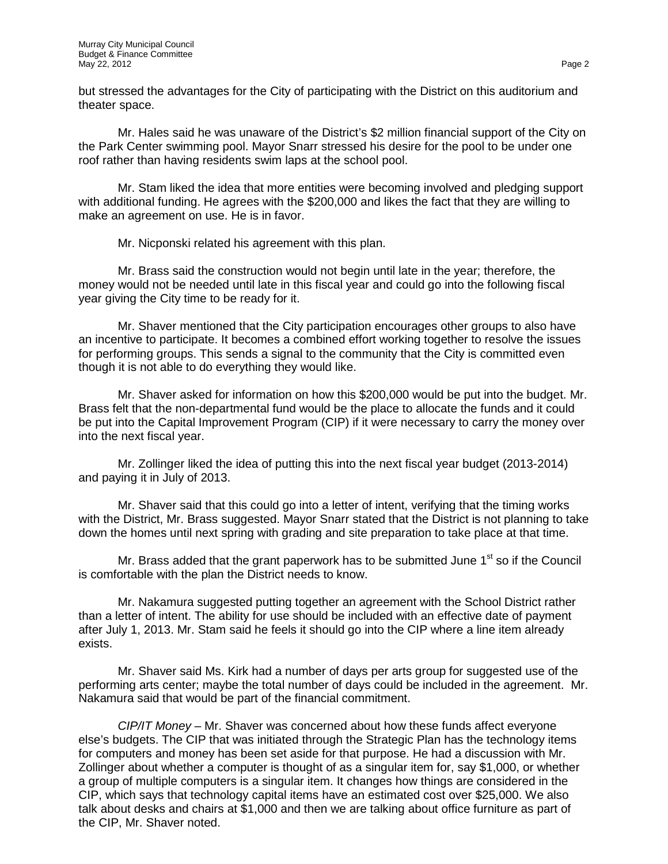but stressed the advantages for the City of participating with the District on this auditorium and theater space.

Mr. Hales said he was unaware of the District's \$2 million financial support of the City on the Park Center swimming pool. Mayor Snarr stressed his desire for the pool to be under one roof rather than having residents swim laps at the school pool.

Mr. Stam liked the idea that more entities were becoming involved and pledging support with additional funding. He agrees with the \$200,000 and likes the fact that they are willing to make an agreement on use. He is in favor.

Mr. Nicponski related his agreement with this plan.

Mr. Brass said the construction would not begin until late in the year; therefore, the money would not be needed until late in this fiscal year and could go into the following fiscal year giving the City time to be ready for it.

Mr. Shaver mentioned that the City participation encourages other groups to also have an incentive to participate. It becomes a combined effort working together to resolve the issues for performing groups. This sends a signal to the community that the City is committed even though it is not able to do everything they would like.

Mr. Shaver asked for information on how this \$200,000 would be put into the budget. Mr. Brass felt that the non-departmental fund would be the place to allocate the funds and it could be put into the Capital Improvement Program (CIP) if it were necessary to carry the money over into the next fiscal year.

Mr. Zollinger liked the idea of putting this into the next fiscal year budget (2013-2014) and paying it in July of 2013.

Mr. Shaver said that this could go into a letter of intent, verifying that the timing works with the District, Mr. Brass suggested. Mayor Snarr stated that the District is not planning to take down the homes until next spring with grading and site preparation to take place at that time.

Mr. Brass added that the grant paperwork has to be submitted June  $1<sup>st</sup>$  so if the Council is comfortable with the plan the District needs to know.

Mr. Nakamura suggested putting together an agreement with the School District rather than a letter of intent. The ability for use should be included with an effective date of payment after July 1, 2013. Mr. Stam said he feels it should go into the CIP where a line item already exists.

Mr. Shaver said Ms. Kirk had a number of days per arts group for suggested use of the performing arts center; maybe the total number of days could be included in the agreement. Mr. Nakamura said that would be part of the financial commitment.

*CIP/IT Money* – Mr. Shaver was concerned about how these funds affect everyone else's budgets. The CIP that was initiated through the Strategic Plan has the technology items for computers and money has been set aside for that purpose. He had a discussion with Mr. Zollinger about whether a computer is thought of as a singular item for, say \$1,000, or whether a group of multiple computers is a singular item. It changes how things are considered in the CIP, which says that technology capital items have an estimated cost over \$25,000. We also talk about desks and chairs at \$1,000 and then we are talking about office furniture as part of the CIP, Mr. Shaver noted.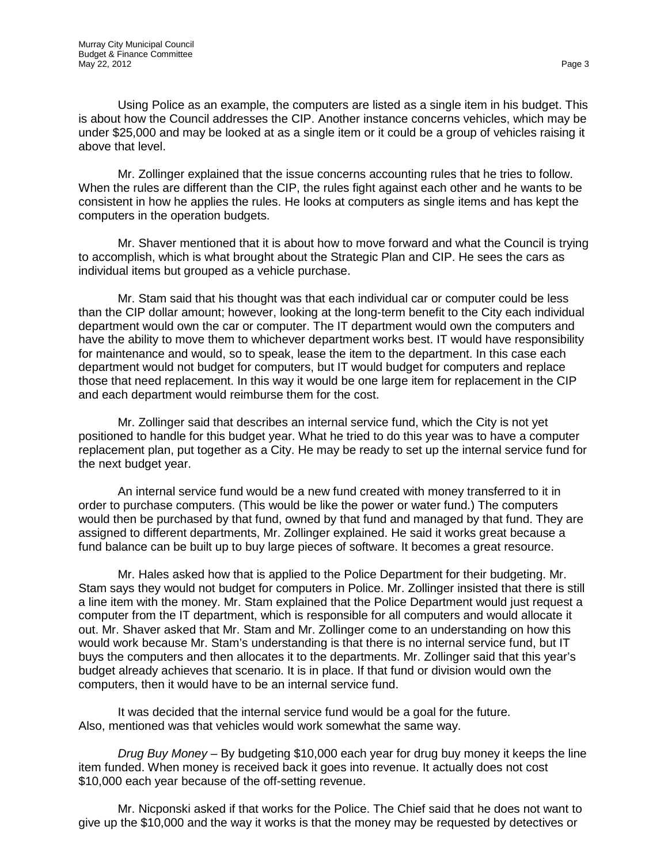Using Police as an example, the computers are listed as a single item in his budget. This is about how the Council addresses the CIP. Another instance concerns vehicles, which may be under \$25,000 and may be looked at as a single item or it could be a group of vehicles raising it above that level.

Mr. Zollinger explained that the issue concerns accounting rules that he tries to follow. When the rules are different than the CIP, the rules fight against each other and he wants to be consistent in how he applies the rules. He looks at computers as single items and has kept the computers in the operation budgets.

Mr. Shaver mentioned that it is about how to move forward and what the Council is trying to accomplish, which is what brought about the Strategic Plan and CIP. He sees the cars as individual items but grouped as a vehicle purchase.

Mr. Stam said that his thought was that each individual car or computer could be less than the CIP dollar amount; however, looking at the long-term benefit to the City each individual department would own the car or computer. The IT department would own the computers and have the ability to move them to whichever department works best. IT would have responsibility for maintenance and would, so to speak, lease the item to the department. In this case each department would not budget for computers, but IT would budget for computers and replace those that need replacement. In this way it would be one large item for replacement in the CIP and each department would reimburse them for the cost.

Mr. Zollinger said that describes an internal service fund, which the City is not yet positioned to handle for this budget year. What he tried to do this year was to have a computer replacement plan, put together as a City. He may be ready to set up the internal service fund for the next budget year.

An internal service fund would be a new fund created with money transferred to it in order to purchase computers. (This would be like the power or water fund.) The computers would then be purchased by that fund, owned by that fund and managed by that fund. They are assigned to different departments, Mr. Zollinger explained. He said it works great because a fund balance can be built up to buy large pieces of software. It becomes a great resource.

Mr. Hales asked how that is applied to the Police Department for their budgeting. Mr. Stam says they would not budget for computers in Police. Mr. Zollinger insisted that there is still a line item with the money. Mr. Stam explained that the Police Department would just request a computer from the IT department, which is responsible for all computers and would allocate it out. Mr. Shaver asked that Mr. Stam and Mr. Zollinger come to an understanding on how this would work because Mr. Stam's understanding is that there is no internal service fund, but IT buys the computers and then allocates it to the departments. Mr. Zollinger said that this year's budget already achieves that scenario. It is in place. If that fund or division would own the computers, then it would have to be an internal service fund.

It was decided that the internal service fund would be a goal for the future. Also, mentioned was that vehicles would work somewhat the same way.

*Drug Buy Money* – By budgeting \$10,000 each year for drug buy money it keeps the line item funded. When money is received back it goes into revenue. It actually does not cost \$10,000 each year because of the off-setting revenue.

Mr. Nicponski asked if that works for the Police. The Chief said that he does not want to give up the \$10,000 and the way it works is that the money may be requested by detectives or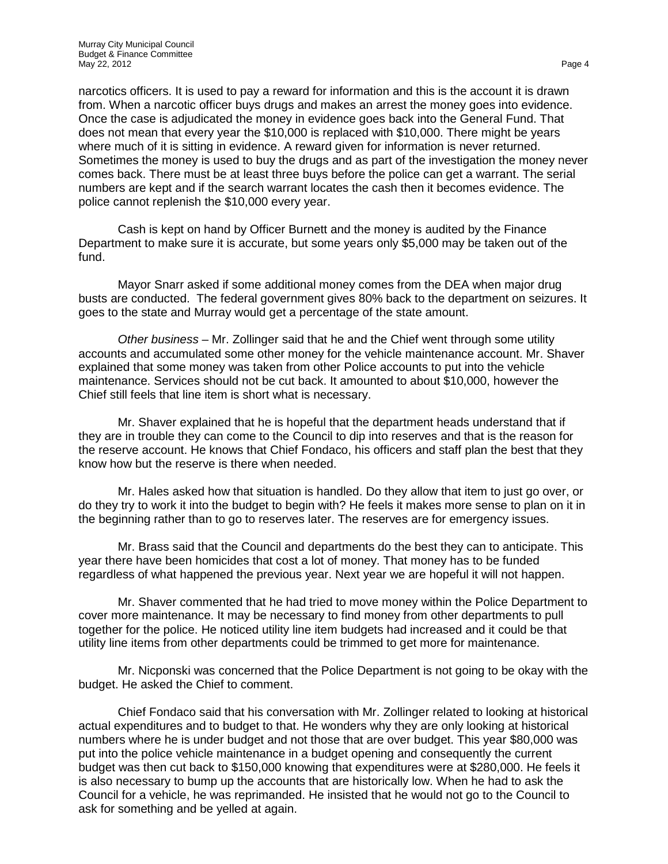narcotics officers. It is used to pay a reward for information and this is the account it is drawn from. When a narcotic officer buys drugs and makes an arrest the money goes into evidence. Once the case is adjudicated the money in evidence goes back into the General Fund. That does not mean that every year the \$10,000 is replaced with \$10,000. There might be years where much of it is sitting in evidence. A reward given for information is never returned. Sometimes the money is used to buy the drugs and as part of the investigation the money never comes back. There must be at least three buys before the police can get a warrant. The serial numbers are kept and if the search warrant locates the cash then it becomes evidence. The police cannot replenish the \$10,000 every year.

Cash is kept on hand by Officer Burnett and the money is audited by the Finance Department to make sure it is accurate, but some years only \$5,000 may be taken out of the fund.

Mayor Snarr asked if some additional money comes from the DEA when major drug busts are conducted. The federal government gives 80% back to the department on seizures. It goes to the state and Murray would get a percentage of the state amount.

*Other business* – Mr. Zollinger said that he and the Chief went through some utility accounts and accumulated some other money for the vehicle maintenance account. Mr. Shaver explained that some money was taken from other Police accounts to put into the vehicle maintenance. Services should not be cut back. It amounted to about \$10,000, however the Chief still feels that line item is short what is necessary.

Mr. Shaver explained that he is hopeful that the department heads understand that if they are in trouble they can come to the Council to dip into reserves and that is the reason for the reserve account. He knows that Chief Fondaco, his officers and staff plan the best that they know how but the reserve is there when needed.

Mr. Hales asked how that situation is handled. Do they allow that item to just go over, or do they try to work it into the budget to begin with? He feels it makes more sense to plan on it in the beginning rather than to go to reserves later. The reserves are for emergency issues.

Mr. Brass said that the Council and departments do the best they can to anticipate. This year there have been homicides that cost a lot of money. That money has to be funded regardless of what happened the previous year. Next year we are hopeful it will not happen.

Mr. Shaver commented that he had tried to move money within the Police Department to cover more maintenance. It may be necessary to find money from other departments to pull together for the police. He noticed utility line item budgets had increased and it could be that utility line items from other departments could be trimmed to get more for maintenance.

Mr. Nicponski was concerned that the Police Department is not going to be okay with the budget. He asked the Chief to comment.

Chief Fondaco said that his conversation with Mr. Zollinger related to looking at historical actual expenditures and to budget to that. He wonders why they are only looking at historical numbers where he is under budget and not those that are over budget. This year \$80,000 was put into the police vehicle maintenance in a budget opening and consequently the current budget was then cut back to \$150,000 knowing that expenditures were at \$280,000. He feels it is also necessary to bump up the accounts that are historically low. When he had to ask the Council for a vehicle, he was reprimanded. He insisted that he would not go to the Council to ask for something and be yelled at again.